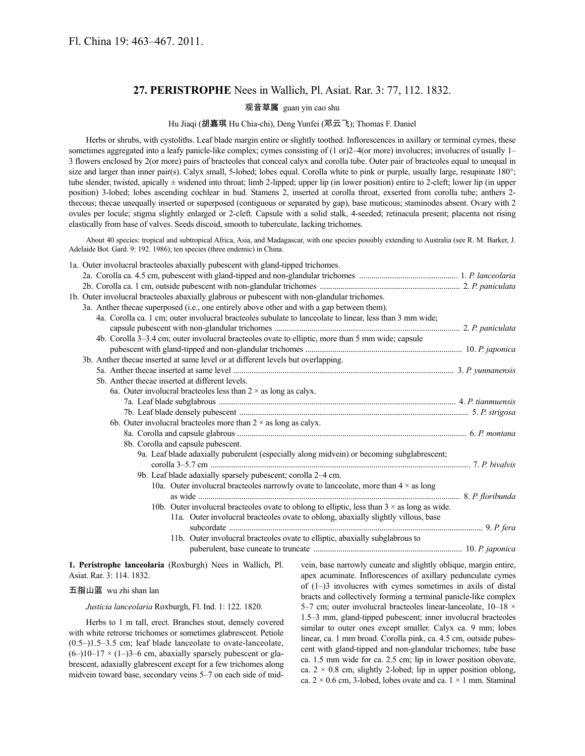# **27. PERISTROPHE** Nees in Wallich, Pl. Asiat. Rar. 3: 77, 112. 1832.

#### 观音草属 guan yin cao shu

### Hu Jiaqi (胡嘉琪 Hu Chia-chi), Deng Yunfei (邓云飞); Thomas F. Daniel

Herbs or shrubs, with cystoliths. Leaf blade margin entire or slightly toothed. Inflorescences in axillary or terminal cymes, these sometimes aggregated into a leafy panicle-like complex; cymes consisting of (1 or)2–4(or more) involucres; involucres of usually 1– 3 flowers enclosed by 2(or more) pairs of bracteoles that conceal calyx and corolla tube. Outer pair of bracteoles equal to unequal in size and larger than inner pair(s). Calyx small, 5-lobed; lobes equal. Corolla white to pink or purple, usually large, resupinate 180°; tube slender, twisted, apically ± widened into throat; limb 2-lipped; upper lip (in lower position) entire to 2-cleft; lower lip (in upper position) 3-lobed; lobes ascending cochlear in bud. Stamens 2, inserted at corolla throat, exserted from corolla tube; anthers 2 thecous; thecae unequally inserted or superposed (contiguous or separated by gap), base muticous; staminodes absent. Ovary with 2 ovules per locule; stigma slightly enlarged or 2-cleft. Capsule with a solid stalk, 4-seeded; retinacula present; placenta not rising elastically from base of valves. Seeds discoid, smooth to tuberculate, lacking trichomes.

About 40 species: tropical and subtropical Africa, Asia, and Madagascar, with one species possibly extending to Australia (see R. M. Barker, J. Adelaide Bot. Gard. 9: 192. 1986); ten species (three endemic) in China.

| 1a. Outer involucral bracteoles abaxially pubescent with gland-tipped trichomes.              |                                                                                                          |  |
|-----------------------------------------------------------------------------------------------|----------------------------------------------------------------------------------------------------------|--|
|                                                                                               |                                                                                                          |  |
|                                                                                               |                                                                                                          |  |
| 1b. Outer involucral bracteoles abaxially glabrous or pubescent with non-glandular trichomes. |                                                                                                          |  |
| 3a. Anther thecae superposed (i.e., one entirely above other and with a gap between them).    |                                                                                                          |  |
|                                                                                               | 4a. Corolla ca. 1 cm; outer involucral bracteoles subulate to lanceolate to linear, less than 3 mm wide; |  |
|                                                                                               |                                                                                                          |  |
|                                                                                               | 4b. Corolla 3–3.4 cm; outer involucral bracteoles ovate to elliptic, more than 5 mm wide; capsule        |  |
|                                                                                               |                                                                                                          |  |
| 3b. Anther thecae inserted at same level or at different levels but overlapping.              |                                                                                                          |  |
|                                                                                               |                                                                                                          |  |
| 5b. Anther the cae inserted at different levels.                                              |                                                                                                          |  |
| 6a. Outer involucral bracteoles less than $2 \times$ as long as calyx.                        |                                                                                                          |  |
|                                                                                               |                                                                                                          |  |
|                                                                                               |                                                                                                          |  |
| 6b. Outer involucral bracteoles more than $2 \times$ as long as calyx.                        |                                                                                                          |  |
|                                                                                               |                                                                                                          |  |
| 8b. Corolla and capsule pubescent.                                                            |                                                                                                          |  |
|                                                                                               | 9a. Leaf blade adaxially puberulent (especially along midvein) or becoming subglabrescent;               |  |
| 9b. Leaf blade adaxially sparsely pubescent; corolla 2-4 cm.                                  |                                                                                                          |  |
|                                                                                               | 10a. Outer involucral bracteoles narrowly ovate to lanceolate, more than $4 \times$ as long              |  |
|                                                                                               |                                                                                                          |  |
|                                                                                               | 10b. Outer involucral bracteoles ovate to oblong to elliptic, less than $3 \times$ as long as wide.      |  |
|                                                                                               | 11a. Outer involucral bracteoles ovate to oblong, abaxially slightly villous, base                       |  |
|                                                                                               |                                                                                                          |  |
|                                                                                               | 11b. Outer involucral bracteoles ovate to elliptic, abaxially subglabrous to                             |  |
|                                                                                               |                                                                                                          |  |
|                                                                                               |                                                                                                          |  |

**1. Peristrophe lanceolaria** (Roxburgh) Nees in Wallich, Pl. Asiat. Rar. 3: 114. 1832.

#### 五指山蓝 wu zhi shan lan

*Justicia lanceolaria* Roxburgh, Fl. Ind. 1: 122. 1820.

Herbs to 1 m tall, erect. Branches stout, densely covered with white retrorse trichomes or sometimes glabrescent. Petiole  $(0.5-)1.5-3.5$  cm; leaf blade lanceolate to ovate-lanceolate,  $(6-)10-17 \times (1-)3-6$  cm, abaxially sparsely pubescent or glabrescent, adaxially glabrescent except for a few trichomes along midvein toward base, secondary veins 5–7 on each side of midvein, base narrowly cuneate and slightly oblique, margin entire, apex acuminate. Inflorescences of axillary pedunculate cymes of (1–)3 involucres with cymes sometimes in axils of distal bracts and collectively forming a terminal panicle-like complex 5–7 cm; outer involucral bracteoles linear-lanceolate,  $10-18 \times$ 1.5–3 mm, gland-tipped pubescent; inner involucral bracteoles similar to outer ones except smaller. Calyx ca. 9 mm; lobes linear, ca. 1 mm broad. Corolla pink, ca. 4.5 cm, outside pubescent with gland-tipped and non-glandular trichomes; tube base ca. 1.5 mm wide for ca. 2.5 cm; lip in lower position obovate, ca.  $2 \times 0.8$  cm, slightly 2-lobed; lip in upper position oblong, ca.  $2 \times 0.6$  cm, 3-lobed, lobes ovate and ca.  $1 \times 1$  mm. Staminal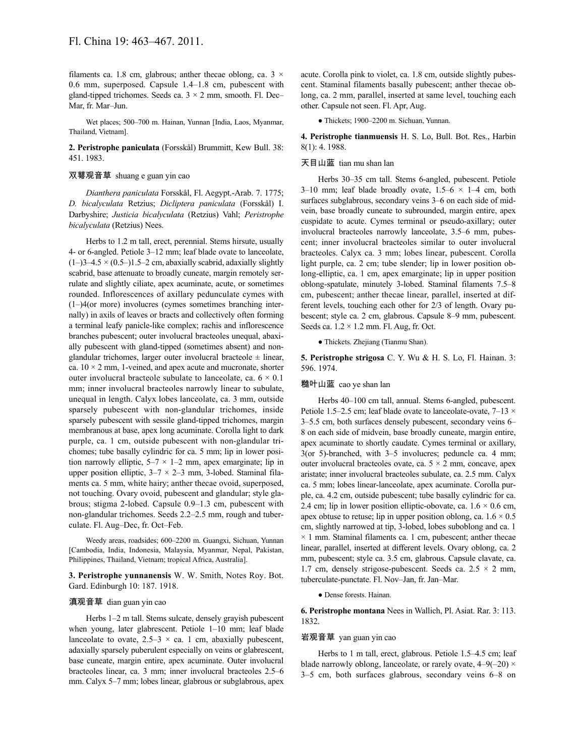filaments ca. 1.8 cm, glabrous; anther thecae oblong, ca.  $3 \times$ 0.6 mm, superposed. Capsule 1.4–1.8 cm, pubescent with gland-tipped trichomes. Seeds ca.  $3 \times 2$  mm, smooth. Fl. Dec– Mar, fr. Mar–Jun.

Wet places; 500–700 m. Hainan, Yunnan [India, Laos, Myanmar, Thailand, Vietnam].

**2. Peristrophe paniculata** (Forsskål) Brummitt, Kew Bull. 38: 451. 1983.

# 双萼观音草 shuang e guan yin cao

*Dianthera paniculata* Forsskål, Fl. Aegypt.-Arab. 7. 1775; *D. bicalyculata* Retzius; *Dicliptera paniculata* (Forsskål) I. Darbyshire; *Justicia bicalyculata* (Retzius) Vahl; *Peristrophe bicalyculata* (Retzius) Nees.

Herbs to 1.2 m tall, erect, perennial. Stems hirsute, usually 4- or 6-angled. Petiole 3–12 mm; leaf blade ovate to lanceolate,  $(1–)3–4.5 \times (0.5–)1.5–2$  cm, abaxially scabrid, adaxially slightly scabrid, base attenuate to broadly cuneate, margin remotely serrulate and slightly ciliate, apex acuminate, acute, or sometimes rounded. Inflorescences of axillary pedunculate cymes with (1–)4(or more) involucres (cymes sometimes branching internally) in axils of leaves or bracts and collectively often forming a terminal leafy panicle-like complex; rachis and inflorescence branches pubescent; outer involucral bracteoles unequal, abaxially pubescent with gland-tipped (sometimes absent) and nonglandular trichomes, larger outer involucral bracteole  $\pm$  linear, ca.  $10 \times 2$  mm, 1-veined, and apex acute and mucronate, shorter outer involucral bracteole subulate to lanceolate, ca.  $6 \times 0.1$ mm; inner involucral bracteoles narrowly linear to subulate, unequal in length. Calyx lobes lanceolate, ca. 3 mm, outside sparsely pubescent with non-glandular trichomes, inside sparsely pubescent with sessile gland-tipped trichomes, margin membranous at base, apex long acuminate. Corolla light to dark purple, ca. 1 cm, outside pubescent with non-glandular trichomes; tube basally cylindric for ca. 5 mm; lip in lower position narrowly elliptic,  $5-7 \times 1-2$  mm, apex emarginate; lip in upper position elliptic,  $3-7 \times 2-3$  mm, 3-lobed. Staminal filaments ca. 5 mm, white hairy; anther thecae ovoid, superposed, not touching. Ovary ovoid, pubescent and glandular; style glabrous; stigma 2-lobed. Capsule 0.9–1.3 cm, pubescent with non-glandular trichomes. Seeds 2.2–2.5 mm, rough and tuberculate. Fl. Aug–Dec, fr. Oct–Feb.

Weedy areas, roadsides; 600–2200 m. Guangxi, Sichuan, Yunnan [Cambodia, India, Indonesia, Malaysia, Myanmar, Nepal, Pakistan, Philippines, Thailand, Vietnam; tropical Africa, Australia].

**3. Peristrophe yunnanensis** W. W. Smith, Notes Roy. Bot. Gard. Edinburgh 10: 187. 1918.

#### 滇观音草 dian guan yin cao

Herbs 1–2 m tall. Stems sulcate, densely grayish pubescent when young, later glabrescent. Petiole 1–10 mm; leaf blade lanceolate to ovate,  $2.5-3 \times$  ca. 1 cm, abaxially pubescent, adaxially sparsely puberulent especially on veins or glabrescent, base cuneate, margin entire, apex acuminate. Outer involucral bracteoles linear, ca. 3 mm; inner involucral bracteoles 2.5–6 mm. Calyx 5–7 mm; lobes linear, glabrous or subglabrous, apex acute. Corolla pink to violet, ca. 1.8 cm, outside slightly pubescent. Staminal filaments basally pubescent; anther thecae oblong, ca. 2 mm, parallel, inserted at same level, touching each other. Capsule not seen. Fl. Apr, Aug.

● Thickets; 1900–2200 m. Sichuan, Yunnan.

**4. Peristrophe tianmuensis** H. S. Lo, Bull. Bot. Res., Harbin 8(1): 4. 1988.

# 天目山蓝 tian mu shan lan

Herbs 30–35 cm tall. Stems 6-angled, pubescent. Petiole 3–10 mm; leaf blade broadly ovate,  $1.5-6 \times 1-4$  cm, both surfaces subglabrous, secondary veins 3–6 on each side of midvein, base broadly cuneate to subrounded, margin entire, apex cuspidate to acute. Cymes terminal or pseudo-axillary; outer involucral bracteoles narrowly lanceolate, 3.5–6 mm, pubescent; inner involucral bracteoles similar to outer involucral bracteoles. Calyx ca. 3 mm; lobes linear, pubescent. Corolla light purple, ca. 2 cm; tube slender; lip in lower position oblong-elliptic, ca. 1 cm, apex emarginate; lip in upper position oblong-spatulate, minutely 3-lobed. Staminal filaments 7.5–8 cm, pubescent; anther thecae linear, parallel, inserted at different levels, touching each other for 2/3 of length. Ovary pubescent; style ca. 2 cm, glabrous. Capsule 8–9 mm, pubescent. Seeds ca.  $1.2 \times 1.2$  mm. Fl. Aug, fr. Oct.

● Thickets. Zhejiang (Tianmu Shan).

**5. Peristrophe strigosa** C. Y. Wu & H. S. Lo, Fl. Hainan. 3: 596. 1974.

#### 糙叶山蓝 cao ye shan lan

Herbs 40–100 cm tall, annual. Stems 6-angled, pubescent. Petiole 1.5–2.5 cm; leaf blade ovate to lanceolate-ovate,  $7-13 \times$ 3–5.5 cm, both surfaces densely pubescent, secondary veins 6– 8 on each side of midvein, base broadly cuneate, margin entire, apex acuminate to shortly caudate. Cymes terminal or axillary, 3(or 5)-branched, with 3–5 involucres; peduncle ca. 4 mm; outer involucral bracteoles ovate, ca.  $5 \times 2$  mm, concave, apex aristate; inner involucral bracteoles subulate, ca. 2.5 mm. Calyx ca. 5 mm; lobes linear-lanceolate, apex acuminate. Corolla purple, ca. 4.2 cm, outside pubescent; tube basally cylindric for ca. 2.4 cm; lip in lower position elliptic-obovate, ca.  $1.6 \times 0.6$  cm, apex obtuse to retuse; lip in upper position oblong, ca.  $1.6 \times 0.5$ cm, slightly narrowed at tip, 3-lobed, lobes suboblong and ca. 1  $\times$  1 mm. Staminal filaments ca. 1 cm, pubescent; anther thecae linear, parallel, inserted at different levels. Ovary oblong, ca. 2 mm, pubescent; style ca. 3.5 cm, glabrous. Capsule clavate, ca. 1.7 cm, densely strigose-pubescent. Seeds ca.  $2.5 \times 2$  mm, tuberculate-punctate. Fl. Nov–Jan, fr. Jan–Mar.

● Dense forests. Hainan.

**6. Peristrophe montana** Nees in Wallich, Pl. Asiat. Rar. 3: 113. 1832.

#### 岩观音草 yan guan yin cao

Herbs to 1 m tall, erect, glabrous. Petiole 1.5–4.5 cm; leaf blade narrowly oblong, lanceolate, or rarely ovate,  $4-9(-20) \times$ 3–5 cm, both surfaces glabrous, secondary veins 6–8 on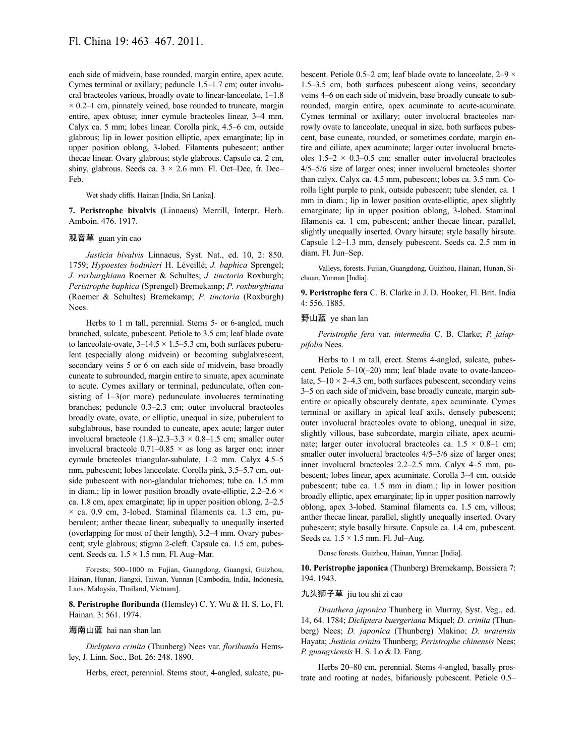each side of midvein, base rounded, margin entire, apex acute. Cymes terminal or axillary; peduncle 1.5–1.7 cm; outer involucral bracteoles various, broadly ovate to linear-lanceolate, 1–1.8  $\times$  0.2–1 cm, pinnately veined, base rounded to truncate, margin entire, apex obtuse; inner cymule bracteoles linear, 3–4 mm. Calyx ca. 5 mm; lobes linear. Corolla pink, 4.5–6 cm, outside glabrous; lip in lower position elliptic, apex emarginate; lip in upper position oblong, 3-lobed. Filaments pubescent; anther thecae linear. Ovary glabrous; style glabrous. Capsule ca. 2 cm, shiny, glabrous. Seeds ca.  $3 \times 2.6$  mm. Fl. Oct–Dec, fr. Dec– Feb.

Wet shady cliffs. Hainan [India, Sri Lanka].

**7. Peristrophe bivalvis** (Linnaeus) Merrill, Interpr. Herb. Amboin. 476. 1917.

#### 观音草 guan yin cao

*Justicia bivalvis* Linnaeus, Syst. Nat., ed. 10, 2: 850. 1759; *Hypoestes bodinieri* H. Léveillé; *J. baphica* Sprengel; *J. roxburghiana* Roemer & Schultes; *J. tinctoria* Roxburgh; *Peristrophe baphica* (Sprengel) Bremekamp; *P. roxburghiana* (Roemer & Schultes) Bremekamp; *P. tinctoria* (Roxburgh) Nees.

Herbs to 1 m tall, perennial. Stems 5- or 6-angled, much branched, sulcate, pubescent. Petiole to 3.5 cm; leaf blade ovate to lanceolate-ovate,  $3-14.5 \times 1.5-5.3$  cm, both surfaces puberulent (especially along midvein) or becoming subglabrescent, secondary veins 5 or 6 on each side of midvein, base broadly cuneate to subrounded, margin entire to sinuate, apex acuminate to acute. Cymes axillary or terminal, pedunculate, often consisting of 1–3(or more) pedunculate involucres terminating branches; peduncle 0.3–2.3 cm; outer involucral bracteoles broadly ovate, ovate, or elliptic, unequal in size, puberulent to subglabrous, base rounded to cuneate, apex acute; larger outer involucral bracteole  $(1.8-)2.3-3.3 \times 0.8-1.5$  cm; smaller outer involucral bracteole  $0.71-0.85 \times$  as long as larger one; inner cymule bracteoles triangular-subulate, 1–2 mm. Calyx 4.5–5 mm, pubescent; lobes lanceolate. Corolla pink, 3.5–5.7 cm, outside pubescent with non-glandular trichomes; tube ca. 1.5 mm in diam.; lip in lower position broadly ovate-elliptic,  $2.2-2.6 \times$ ca. 1.8 cm, apex emarginate; lip in upper position oblong, 2–2.5  $\times$  ca. 0.9 cm, 3-lobed. Staminal filaments ca. 1.3 cm, puberulent; anther thecae linear, subequally to unequally inserted (overlapping for most of their length), 3.2–4 mm. Ovary pubescent; style glabrous; stigma 2-cleft. Capsule ca. 1.5 cm, pubescent. Seeds ca.  $1.5 \times 1.5$  mm. Fl. Aug–Mar.

Forests; 500–1000 m. Fujian, Guangdong, Guangxi, Guizhou, Hainan, Hunan, Jiangxi, Taiwan, Yunnan [Cambodia, India, Indonesia, Laos, Malaysia, Thailand, Vietnam].

**8. Peristrophe floribunda** (Hemsley) C. Y. Wu & H. S. Lo, Fl. Hainan. 3: 561. 1974.

# 海南山蓝 hai nan shan lan

*Dicliptera crinita* (Thunberg) Nees var. *floribunda* Hemsley, J. Linn. Soc., Bot. 26: 248. 1890.

Herbs, erect, perennial. Stems stout, 4-angled, sulcate, pu-

bescent. Petiole 0.5–2 cm; leaf blade ovate to lanceolate, 2–9 × 1.5–3.5 cm, both surfaces pubescent along veins, secondary veins 4–6 on each side of midvein, base broadly cuneate to subrounded, margin entire, apex acuminate to acute-acuminate. Cymes terminal or axillary; outer involucral bracteoles narrowly ovate to lanceolate, unequal in size, both surfaces pubescent, base cuneate, rounded, or sometimes cordate, margin entire and ciliate, apex acuminate; larger outer involucral bracteoles  $1.5-2 \times 0.3-0.5$  cm; smaller outer involucral bracteoles 4/5–5/6 size of larger ones; inner involucral bracteoles shorter than calyx. Calyx ca. 4.5 mm, pubescent; lobes ca. 3.5 mm. Corolla light purple to pink, outside pubescent; tube slender, ca. 1 mm in diam.; lip in lower position ovate-elliptic, apex slightly emarginate; lip in upper position oblong, 3-lobed. Staminal filaments ca. 1 cm, pubescent; anther thecae linear, parallel, slightly unequally inserted. Ovary hirsute; style basally hirsute. Capsule 1.2–1.3 mm, densely pubescent. Seeds ca. 2.5 mm in diam. Fl. Jun–Sep.

Valleys, forests. Fujian, Guangdong, Guizhou, Hainan, Hunan, Sichuan, Yunnan [India].

**9. Peristrophe fera** C. B. Clarke in J. D. Hooker, Fl. Brit. India 4: 556. 1885.

### 野山蓝 ye shan lan

*Peristrophe fera* var. *intermedia* C. B. Clarke; *P. jalappifolia* Nees.

Herbs to 1 m tall, erect. Stems 4-angled, sulcate, pubescent. Petiole 5–10(–20) mm; leaf blade ovate to ovate-lanceolate,  $5-10 \times 2-4.3$  cm, both surfaces pubescent, secondary veins 3–5 on each side of midvein, base broadly cuneate, margin subentire or apically obscurely dentate, apex acuminate. Cymes terminal or axillary in apical leaf axils, densely pubescent; outer involucral bracteoles ovate to oblong, unequal in size, slightly villous, base subcordate, margin ciliate, apex acuminate: larger outer involucral bracteoles ca.  $1.5 \times 0.8$ –1 cm; smaller outer involucral bracteoles  $4/5-5/6$  size of larger ones; inner involucral bracteoles 2.2–2.5 mm. Calyx 4–5 mm, pubescent; lobes linear, apex acuminate. Corolla 3–4 cm, outside pubescent; tube ca. 1.5 mm in diam.; lip in lower position broadly elliptic, apex emarginate; lip in upper position narrowly oblong, apex 3-lobed. Staminal filaments ca. 1.5 cm, villous; anther thecae linear, parallel, slightly unequally inserted. Ovary pubescent; style basally hirsute. Capsule ca. 1.4 cm, pubescent. Seeds ca.  $1.5 \times 1.5$  mm. Fl. Jul–Aug.

Dense forests. Guizhou, Hainan, Yunnan [India].

**10. Peristrophe japonica** (Thunberg) Bremekamp, Boissiera 7: 194. 1943.

### 九头狮子草 jiu tou shi zi cao

*Dianthera japonica* Thunberg in Murray, Syst. Veg., ed. 14, 64. 1784; *Dicliptera buergeriana* Miquel; *D. crinita* (Thunberg) Nees; *D. japonica* (Thunberg) Makino; *D. uraiensis* Hayata; *Justicia crinita* Thunberg; *Peristrophe chinensis* Nees; *P. guangxiensis* H. S. Lo & D. Fang.

Herbs 20–80 cm, perennial. Stems 4-angled, basally prostrate and rooting at nodes, bifariously pubescent. Petiole 0.5–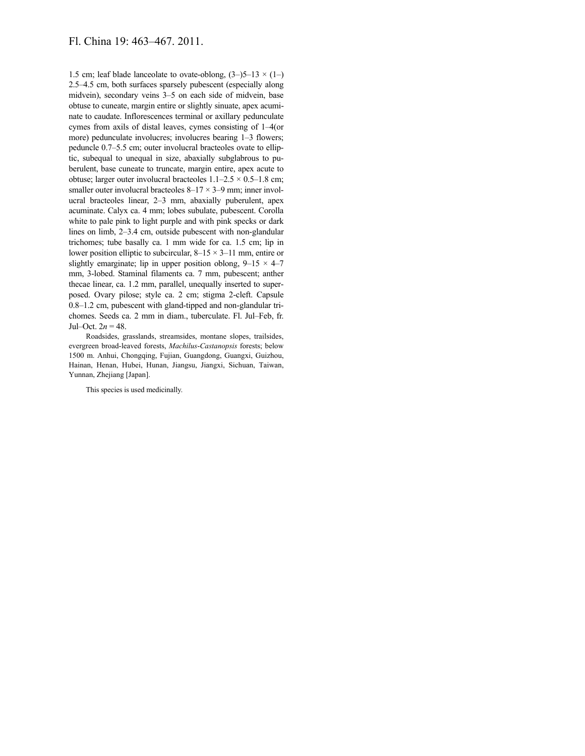1.5 cm; leaf blade lanceolate to ovate-oblong,  $(3-)$ 5–13  $\times$  (1–) 2.5–4.5 cm, both surfaces sparsely pubescent (especially along midvein), secondary veins 3–5 on each side of midvein, base obtuse to cuneate, margin entire or slightly sinuate, apex acuminate to caudate. Inflorescences terminal or axillary pedunculate cymes from axils of distal leaves, cymes consisting of 1–4(or more) pedunculate involucres; involucres bearing 1–3 flowers; peduncle 0.7–5.5 cm; outer involucral bracteoles ovate to elliptic, subequal to unequal in size, abaxially subglabrous to puberulent, base cuneate to truncate, margin entire, apex acute to obtuse; larger outer involucral bracteoles  $1.1-2.5 \times 0.5-1.8$  cm; smaller outer involucral bracteoles  $8-17 \times 3-9$  mm; inner involucral bracteoles linear, 2–3 mm, abaxially puberulent, apex acuminate. Calyx ca. 4 mm; lobes subulate, pubescent. Corolla white to pale pink to light purple and with pink specks or dark lines on limb, 2–3.4 cm, outside pubescent with non-glandular trichomes; tube basally ca. 1 mm wide for ca. 1.5 cm; lip in lower position elliptic to subcircular,  $8-15 \times 3-11$  mm, entire or slightly emarginate; lip in upper position oblong,  $9-15 \times 4-7$ mm, 3-lobed. Staminal filaments ca. 7 mm, pubescent; anther thecae linear, ca. 1.2 mm, parallel, unequally inserted to superposed. Ovary pilose; style ca. 2 cm; stigma 2-cleft. Capsule 0.8–1.2 cm, pubescent with gland-tipped and non-glandular trichomes. Seeds ca. 2 mm in diam., tuberculate. Fl. Jul–Feb, fr. Jul–Oct.  $2n = 48$ .

Roadsides, grasslands, streamsides, montane slopes, trailsides, evergreen broad-leaved forests, *Machilus*-*Castanopsis* forests; below 1500 m. Anhui, Chongqing, Fujian, Guangdong, Guangxi, Guizhou, Hainan, Henan, Hubei, Hunan, Jiangsu, Jiangxi, Sichuan, Taiwan, Yunnan, Zhejiang [Japan].

This species is used medicinally.